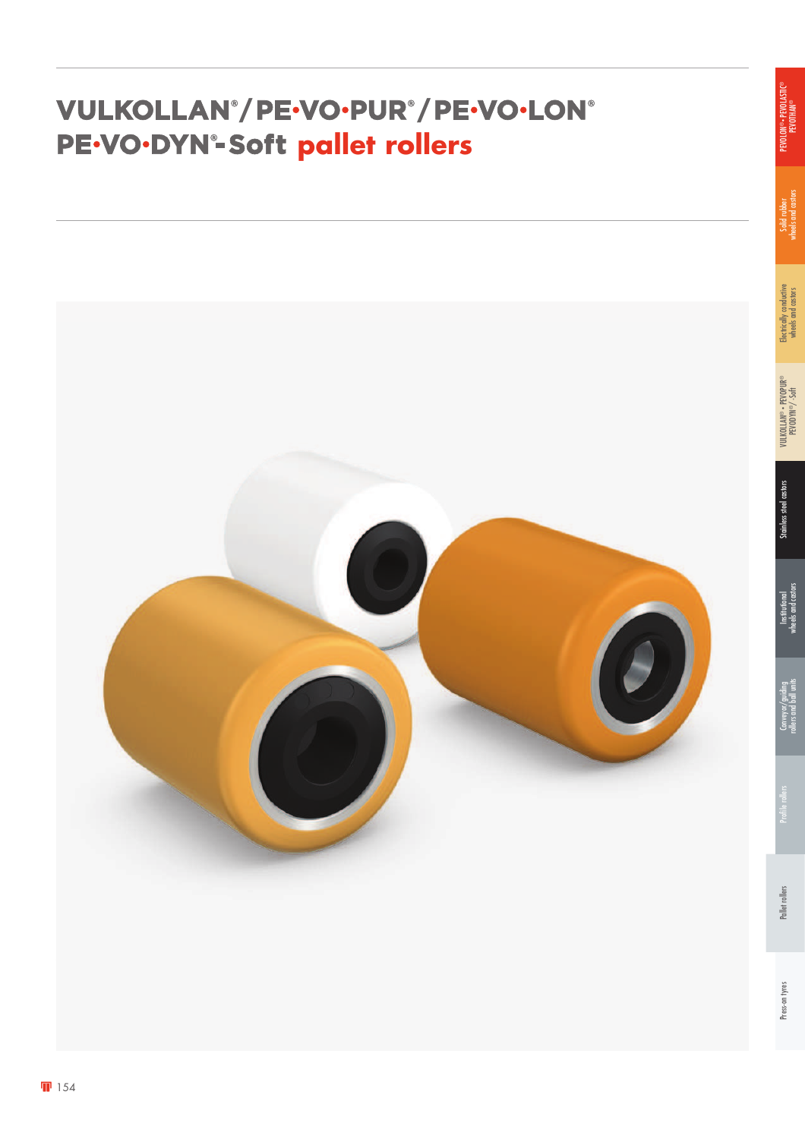#### **/ / PE.VO.DYN°-Soft pallet rollers**



rollers and ball units

wheels and castors

PEVODYN®/ -Soft

wheels and castors

Solid rubber<br>wheels and castors wheels and castors

PEVOLON® • PEVOLASTIC® PEVOLON®• PEVOLASTIC®<br>PEVOTHAN®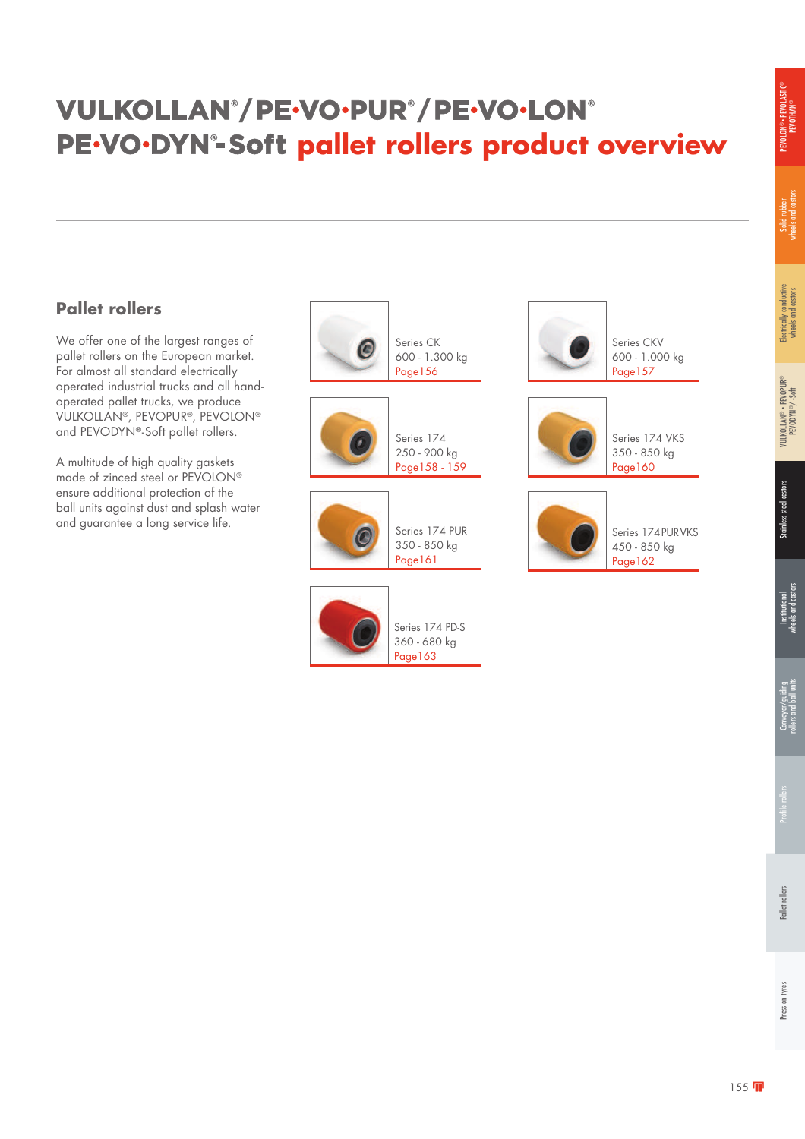### VULKOLLAN®/PE·VO·PUR®/PE·VO·LON® PE.VO.DYN<sup>®</sup>-Soft pallet rollers product overview

#### **Pallet rollers**

We offer one of the largest ranges of pallet rollers on the European market. For almost all standard electrically operated industrial trucks and all handoperated pallet trucks, we produce VULKOLLAN®, PEVOPUR®, PEVOLON® and PEVODYN®-Soft pallet rollers.

A multitude of high quality gaskets made of zinced steel or PEVOLON® ensure additional protection of the ball units against dust and splash water



Page163



Series CKV 600 - 1.000 kg Page157



Series 174 VKS 350 - 850 kg Page160

Page162

Series 174 PUR VKS 450 - 850 kg

®

Electrically conductive wheels and castors

Electrically conductive<br>wheels and castors

Solid rubber<br>wheels and castors wheels and castors

PEVOLON® • PEVOLASTIC® PEVOLON® • PEVOLASTI<br>PEVOTHAN®

> PEVODYN ®/ -Soft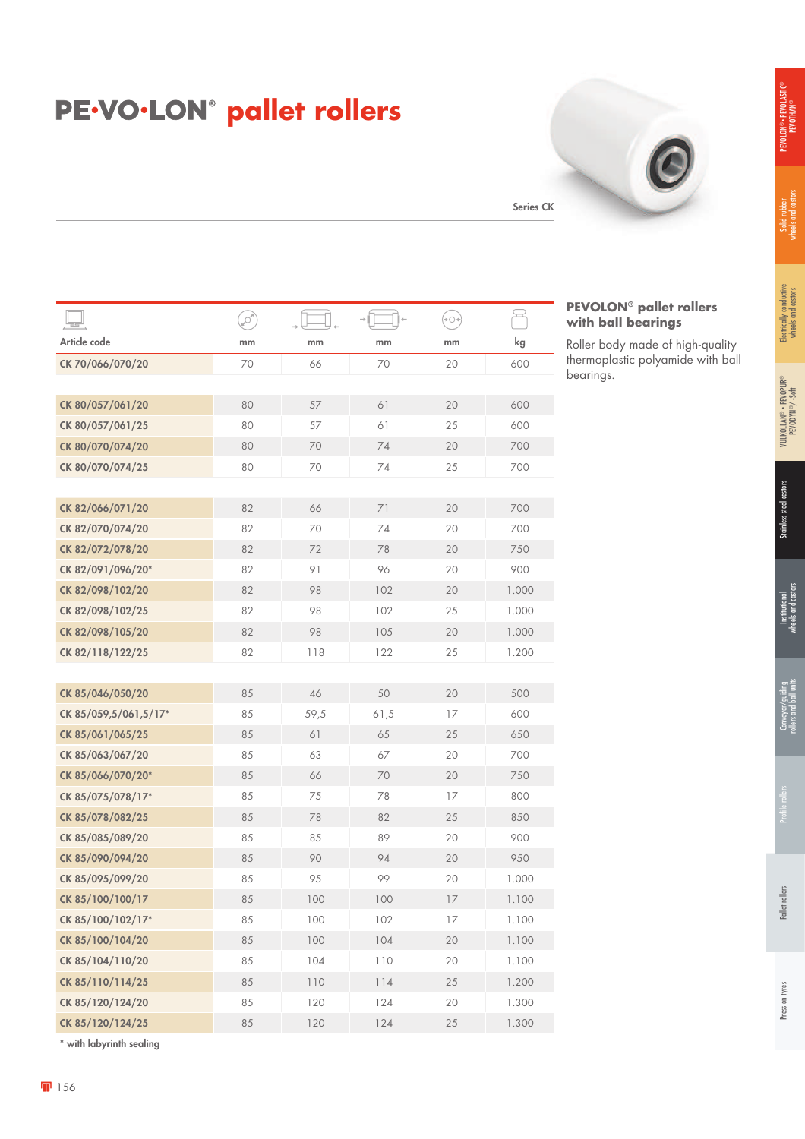## **pE-VO-LON<sup>®</sup> pallet rollers**

Series CK

|                       | ø  |      |      | $\leftrightarrow$ $\circ$ $\leftrightarrow$ | $\widetilde{\phantom{m}}$ |
|-----------------------|----|------|------|---------------------------------------------|---------------------------|
| Article code          | mm | mm   | mm   | mm                                          | kg                        |
| CK 70/066/070/20      | 70 | 66   | 70   | 20                                          | 600                       |
|                       |    |      |      |                                             |                           |
| CK 80/057/061/20      | 80 | 57   | 61   | 20                                          | 600                       |
| CK 80/057/061/25      | 80 | 57   | 61   | 25                                          | 600                       |
| CK 80/070/074/20      | 80 | 70   | 74   | 20                                          | 700                       |
| CK 80/070/074/25      | 80 | 70   | 74   | 25                                          | 700                       |
|                       |    |      |      |                                             |                           |
| CK 82/066/071/20      | 82 | 66   | 71   | 20                                          | 700                       |
| CK 82/070/074/20      | 82 | 70   | 74   | 20                                          | 700                       |
| CK 82/072/078/20      | 82 | 72   | 78   | 20                                          | 750                       |
| CK 82/091/096/20*     | 82 | 91   | 96   | 20                                          | 900                       |
| CK 82/098/102/20      | 82 | 98   | 102  | 20                                          | 1.000                     |
| CK 82/098/102/25      | 82 | 98   | 102  | 25                                          | 1.000                     |
| CK 82/098/105/20      | 82 | 98   | 105  | 20                                          | 1.000                     |
| CK 82/118/122/25      | 82 | 118  | 122  | 25                                          | 1.200                     |
|                       |    |      |      |                                             |                           |
| CK 85/046/050/20      | 85 | 46   | 50   | 20                                          | 500                       |
| CK 85/059,5/061,5/17* | 85 | 59,5 | 61,5 | 17                                          | 600                       |
| CK 85/061/065/25      | 85 | 61   | 65   | 25                                          | 650                       |
| CK 85/063/067/20      | 85 | 63   | 67   | 20                                          | 700                       |
| CK 85/066/070/20*     | 85 | 66   | 70   | 20                                          | 750                       |
| CK 85/075/078/17*     | 85 | 75   | 78   | 17                                          | 800                       |
| CK 85/078/082/25      | 85 | 78   | 82   | 25                                          | 850                       |
| CK 85/085/089/20      | 85 | 85   | 89   | 20                                          | 900                       |
| CK 85/090/094/20      | 85 | 90   | 94   | 20                                          | 950                       |
| CK 85/095/099/20      | 85 | 95   | 99   | 20                                          | 1.000                     |
| CK 85/100/100/17      | 85 | 100  | 100  | 17                                          | 1.100                     |
| CK 85/100/102/17*     | 85 | 100  | 102  | 17                                          | 1.100                     |
| CK 85/100/104/20      | 85 | 100  | 104  | 20                                          | 1.100                     |
| CK 85/104/110/20      | 85 | 104  | 110  | 20                                          | 1.100                     |
| CK 85/110/114/25      | 85 | 110  | 114  | 25                                          | 1.200                     |
| CK 85/120/124/20      | 85 | 120  | 124  | 20                                          | 1.300                     |
| CK 85/120/124/25      | 85 | 120  | 124  | 25                                          | 1.300                     |

\* with labyrinth sealing

#### **PEVOLON® pallet rollers with ball bearings**

Roller body made of high-quality thermoplastic polyamide with ball bearings.

®

PEVODYN ®/ -Soft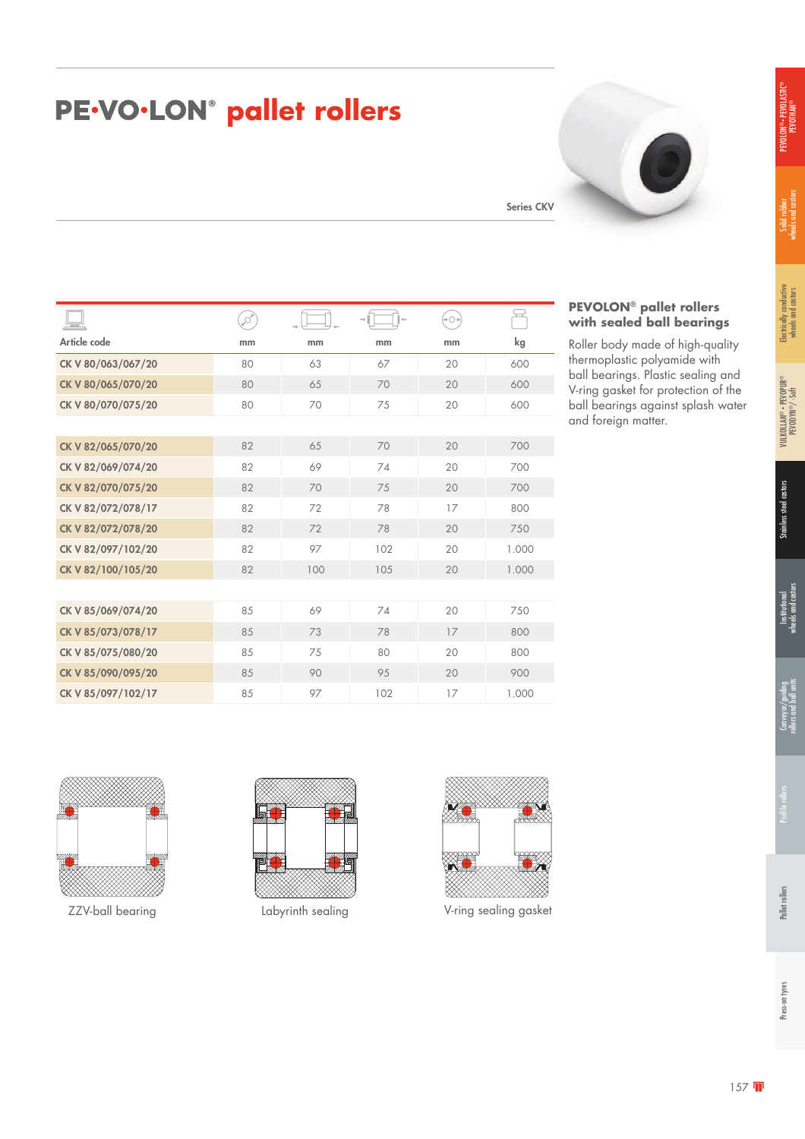#### **pE-VO-LON<sup>®</sup> pallet rollers**

| PEVOLON® - PEVOLASTIC®<br><b>PEVOTHAN®</b> |
|--------------------------------------------|
|--------------------------------------------|

| $=$                | ø  |     |     | (→⊝÷ | $\hookrightarrow$ |
|--------------------|----|-----|-----|------|-------------------|
| Article code       | mm | mm  | mm  | mm   | kg                |
| CK V 80/063/067/20 | 80 | 63  | 67  | 20   | 600               |
| CK V 80/065/070/20 | 80 | 65  | 70  | 20   | 600               |
| CK V 80/070/075/20 | 80 | 70  | 75  | 20   | 600               |
|                    |    |     |     |      |                   |
| CK V 82/065/070/20 | 82 | 65  | 70  | 20   | 700               |
| CK V 82/069/074/20 | 82 | 69  | 74  | 20   | 700               |
| CK V 82/070/075/20 | 82 | 70  | 75  | 20   | 700               |
| CK V 82/072/078/17 | 82 | 72  | 78  | 17   | 800               |
| CK V 82/072/078/20 | 82 | 72  | 78  | 20   | 750               |
| CK V 82/097/102/20 | 82 | 97  | 102 | 20   | 1.000             |
| CK V 82/100/105/20 | 82 | 100 | 105 | 20   | 1.000             |
|                    |    |     |     |      |                   |
| CK V 85/069/074/20 | 85 | 69  | 74  | 20   | 750               |
| CK V 85/073/078/17 | 85 | 73  | 78  | 17   | 800               |
| CK V 85/075/080/20 | 85 | 75  | 80  | 20   | 800               |
| CK V 85/090/095/20 | 85 | 90  | 95  | 20   | 900               |

# Series CKV

#### **PEVOLON® pallet rollers with sealed ball bearings**

Roller body made of high-quality thermoplastic polyamide with ball bearings. Plastic sealing and V-ring gasket for protection of the ball bearings against splash water and foreign matter.



CK V 85/097/102/17 85 97 102 17 1.000



ZZV-ball bearing Labyrinth sealing V-ring sealing gasket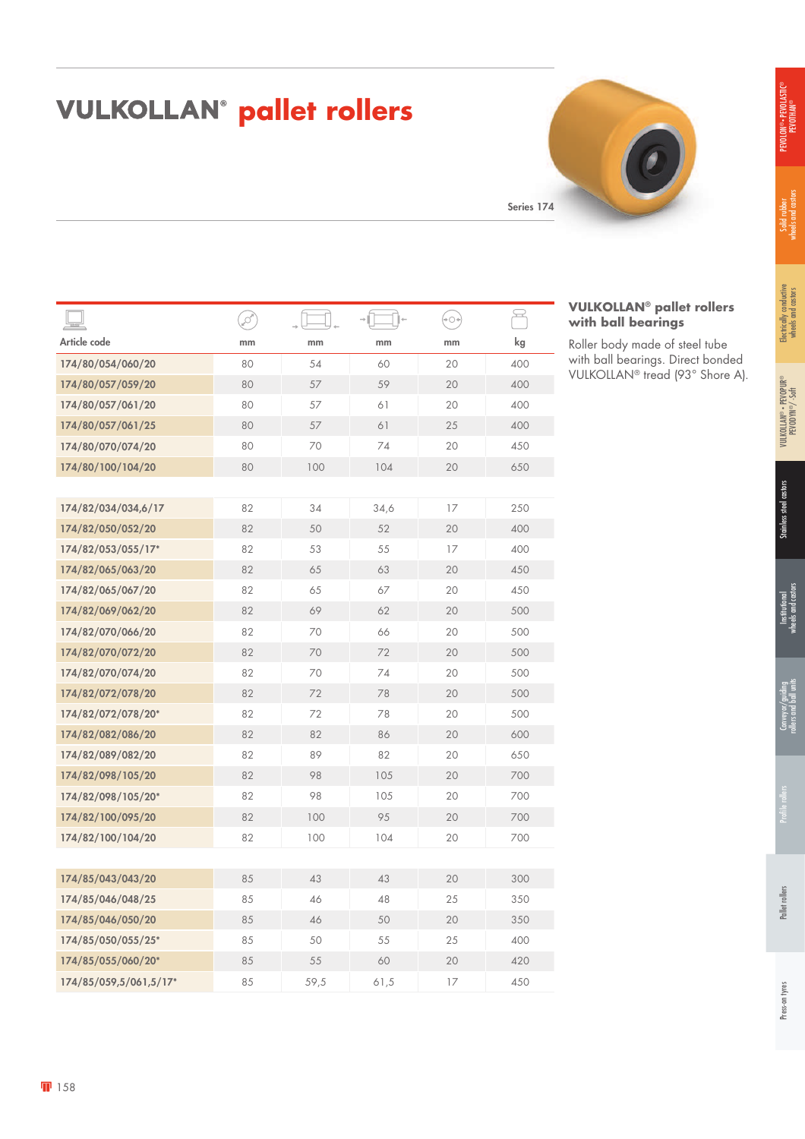### PEVOLON® • PEVOLASTIC® PEVOLON® • PEVOLASTI<br>PEVOTHAN®

### **VULKOLLAN<sup>®</sup> pallet rollers**

Series 174

|                        | ,c |      |      | $+O+$ | 모   |
|------------------------|----|------|------|-------|-----|
| Article code           | mm | mm   | mm   | mm    | kg  |
| 174/80/054/060/20      | 80 | 54   | 60   | 20    | 400 |
| 174/80/057/059/20      | 80 | 57   | 59   | 20    | 400 |
| 174/80/057/061/20      | 80 | 57   | 61   | 20    | 400 |
| 174/80/057/061/25      | 80 | 57   | 61   | 25    | 400 |
| 174/80/070/074/20      | 80 | 70   | 74   | 20    | 450 |
| 174/80/100/104/20      | 80 | 100  | 104  | 20    | 650 |
|                        |    |      |      |       |     |
| 174/82/034/034,6/17    | 82 | 34   | 34,6 | 17    | 250 |
| 174/82/050/052/20      | 82 | 50   | 52   | 20    | 400 |
| 174/82/053/055/17*     | 82 | 53   | 55   | 17    | 400 |
| 174/82/065/063/20      | 82 | 65   | 63   | 20    | 450 |
| 174/82/065/067/20      | 82 | 65   | 67   | 20    | 450 |
| 174/82/069/062/20      | 82 | 69   | 62   | 20    | 500 |
| 174/82/070/066/20      | 82 | 70   | 66   | 20    | 500 |
| 174/82/070/072/20      | 82 | 70   | 72   | 20    | 500 |
| 174/82/070/074/20      | 82 | 70   | 74   | 20    | 500 |
| 174/82/072/078/20      | 82 | 72   | 78   | 20    | 500 |
| 174/82/072/078/20*     | 82 | 72   | 78   | 20    | 500 |
| 174/82/082/086/20      | 82 | 82   | 86   | 20    | 600 |
| 174/82/089/082/20      | 82 | 89   | 82   | 20    | 650 |
| 174/82/098/105/20      | 82 | 98   | 105  | 20    | 700 |
| 174/82/098/105/20*     | 82 | 98   | 105  | 20    | 700 |
| 174/82/100/095/20      | 82 | 100  | 95   | 20    | 700 |
| 174/82/100/104/20      | 82 | 100  | 104  | 20    | 700 |
|                        |    |      |      |       |     |
| 174/85/043/043/20      | 85 | 43   | 43   | 20    | 300 |
| 174/85/046/048/25      | 85 | 46   | 48   | 25    | 350 |
| 174/85/046/050/20      | 85 | 46   | 50   | 20    | 350 |
| 174/85/050/055/25*     | 85 | 50   | 55   | 25    | 400 |
| 174/85/055/060/20*     | 85 | 55   | 60   | 20    | 420 |
| 174/85/059,5/061,5/17* | 85 | 59,5 | 61,5 | 17    | 450 |



**VULKOLLAN® pallet rollers** 

Roller body made of steel tube with ball bearings. Direct bonded VULKOLLAN® tread (93° Shore A).

**with ball bearings**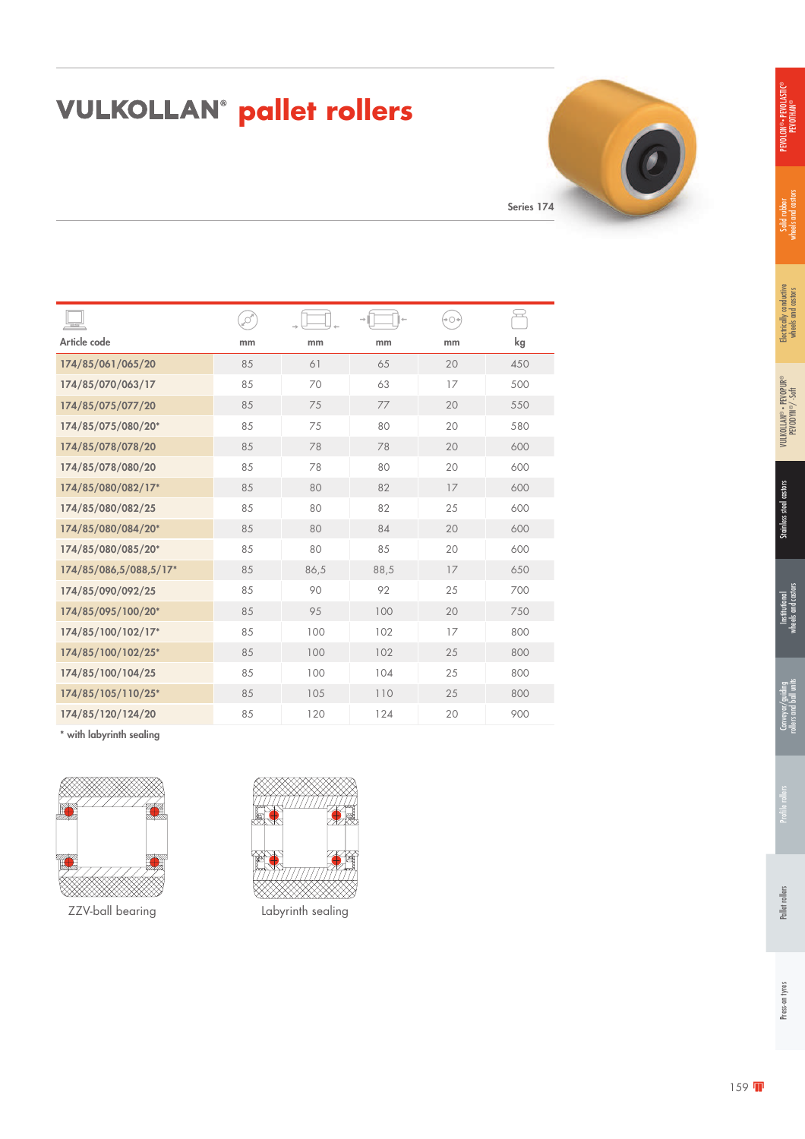### **VULKOLLAN<sup>®</sup> pallet rollers**

Series 174

|                        | ø  |      |      | $+O+$ | يب  |
|------------------------|----|------|------|-------|-----|
| Article code           | mm | mm   | mm   | mm    | kg  |
| 174/85/061/065/20      | 85 | 61   | 65   | 20    | 450 |
| 174/85/070/063/17      | 85 | 70   | 63   | 17    | 500 |
| 174/85/075/077/20      | 85 | 75   | 77   | 20    | 550 |
| 174/85/075/080/20*     | 85 | 75   | 80   | 20    | 580 |
| 174/85/078/078/20      | 85 | 78   | 78   | 20    | 600 |
| 174/85/078/080/20      | 85 | 78   | 80   | 20    | 600 |
| 174/85/080/082/17*     | 85 | 80   | 82   | 17    | 600 |
| 174/85/080/082/25      | 85 | 80   | 82   | 25    | 600 |
| 174/85/080/084/20*     | 85 | 80   | 84   | 20    | 600 |
| 174/85/080/085/20*     | 85 | 80   | 85   | 20    | 600 |
| 174/85/086,5/088,5/17* | 85 | 86,5 | 88,5 | 17    | 650 |
| 174/85/090/092/25      | 85 | 90   | 92   | 25    | 700 |
| 174/85/095/100/20*     | 85 | 95   | 100  | 20    | 750 |
| 174/85/100/102/17*     | 85 | 100  | 102  | 17    | 800 |
| 174/85/100/102/25*     | 85 | 100  | 102  | 25    | 800 |
| 174/85/100/104/25      | 85 | 100  | 104  | 25    | 800 |
| 174/85/105/110/25*     | 85 | 105  | 110  | 25    | 800 |
| 174/85/120/124/20      | 85 | 120  | 124  | 20    | 900 |

\* with labyrinth sealing



ZZV-ball bearing Labyrinth sealing

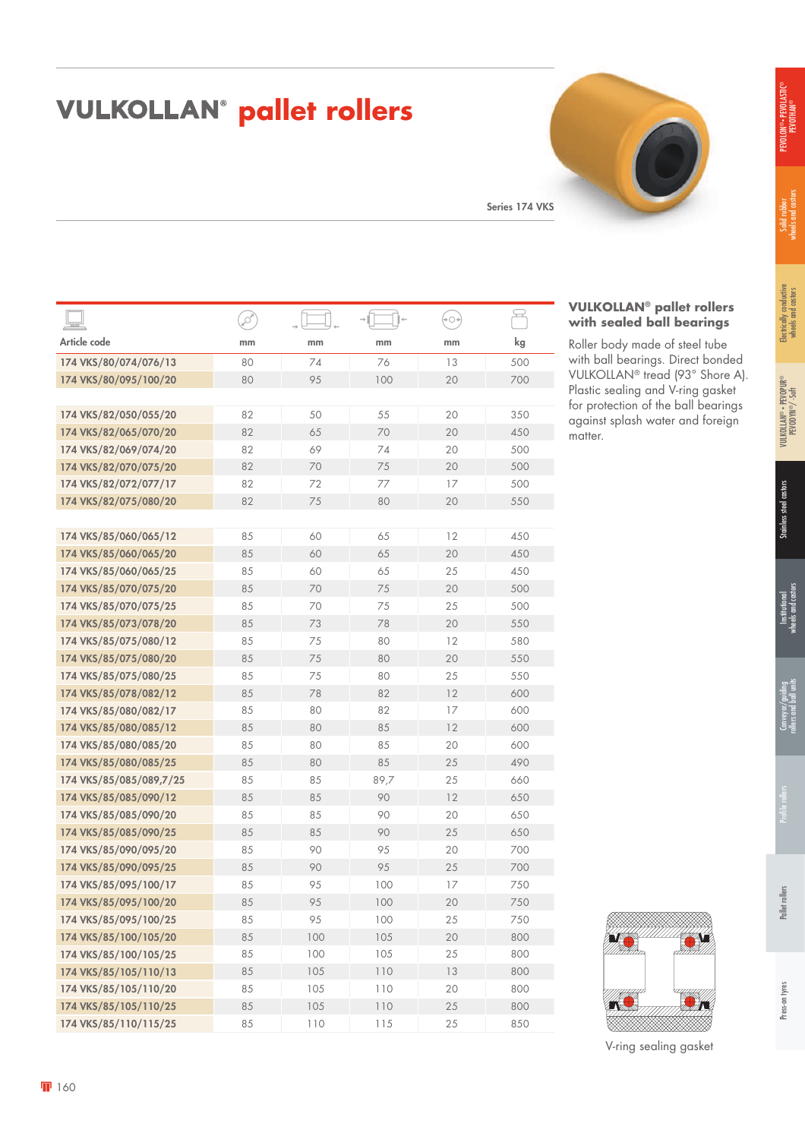### **VULKOLLAN<sup>®</sup> pallet rollers**

Series 174 VKS

|                         | Į  |     |      | $+$ $\bigcirc$ + | <u>پ</u> |
|-------------------------|----|-----|------|------------------|----------|
| Article code            | mm | mm  | mm   | mm               | kg       |
| 174 VKS/80/074/076/13   | 80 | 74  | 76   | 13               | 500      |
| 174 VKS/80/095/100/20   | 80 | 95  | 100  | 20               | 700      |
|                         |    |     |      |                  |          |
| 174 VKS/82/050/055/20   | 82 | 50  | 55   | 20               | 350      |
| 174 VKS/82/065/070/20   | 82 | 65  | 70   | 20               | 450      |
| 174 VKS/82/069/074/20   | 82 | 69  | 74   | 20               | 500      |
| 174 VKS/82/070/075/20   | 82 | 70  | 75   | 20               | 500      |
| 174 VKS/82/072/077/17   | 82 | 72  | 77   | 17               | 500      |
| 174 VKS/82/075/080/20   | 82 | 75  | 80   | 20               | 550      |
|                         |    |     |      |                  |          |
| 174 VKS/85/060/065/12   | 85 | 60  | 65   | 12               | 450      |
| 174 VKS/85/060/065/20   | 85 | 60  | 65   | 20               | 450      |
| 174 VKS/85/060/065/25   | 85 | 60  | 65   | 25               | 450      |
| 174 VKS/85/070/075/20   | 85 | 70  | 75   | 20               | 500      |
| 174 VKS/85/070/075/25   | 85 | 70  | 75   | 25               | 500      |
| 174 VKS/85/073/078/20   | 85 | 73  | 78   | 20               | 550      |
| 174 VKS/85/075/080/12   | 85 | 75  | 80   | 12               | 580      |
| 174 VKS/85/075/080/20   | 85 | 75  | 80   | 20               | 550      |
| 174 VKS/85/075/080/25   | 85 | 75  | 80   | 25               | 550      |
| 174 VKS/85/078/082/12   | 85 | 78  | 82   | 12               | 600      |
| 174 VKS/85/080/082/17   | 85 | 80  | 82   | 17               | 600      |
| 174 VKS/85/080/085/12   | 85 | 80  | 85   | 12               | 600      |
| 174 VKS/85/080/085/20   | 85 | 80  | 85   | 20               | 600      |
| 174 VKS/85/080/085/25   | 85 | 80  | 85   | 25               | 490      |
| 174 VKS/85/085/089,7/25 | 85 | 85  | 89,7 | 25               | 660      |
| 174 VKS/85/085/090/12   | 85 | 85  | 90   | 12               | 650      |
| 174 VKS/85/085/090/20   | 85 | 85  | 90   | 20               | 650      |
| 174 VKS/85/085/090/25   | 85 | 85  | 90   | 25               | 650      |
| 174 VKS/85/090/095/20   | 85 | 90  | 95   | 20               | 700      |
| 174 VKS/85/090/095/25   | 85 | 90  | 95   | 25               | 700      |
| 174 VKS/85/095/100/17   | 85 | 95  | 100  | 17               | 750      |
| 174 VKS/85/095/100/20   | 85 | 95  | 100  | 20               | 750      |
| 174 VKS/85/095/100/25   | 85 | 95  | 100  | 25               | 750      |
| 174 VKS/85/100/105/20   | 85 | 100 | 105  | 20               | 800      |
| 174 VKS/85/100/105/25   | 85 | 100 | 105  | 25               | 800      |
| 174 VKS/85/105/110/13   | 85 | 105 | 110  | 13               | 800      |
| 174 VKS/85/105/110/20   | 85 | 105 | 110  | 20               | 800      |
| 174 VKS/85/105/110/25   | 85 | 105 | 110  | 25               | 800      |
| 174 VKS/85/110/115/25   | 85 | 110 | 115  | 25               | 850      |

#### **VULKOLLAN® pallet rollers with sealed ball bearings**

Roller body made of steel tube with ball bearings. Direct bonded VULKOLLAN® tread (93° Shore A). Plastic sealing and V-ring gasket for protection of the ball bearings against splash water and foreign matter.

| V-ring sealing gasket |
|-----------------------|
|-----------------------|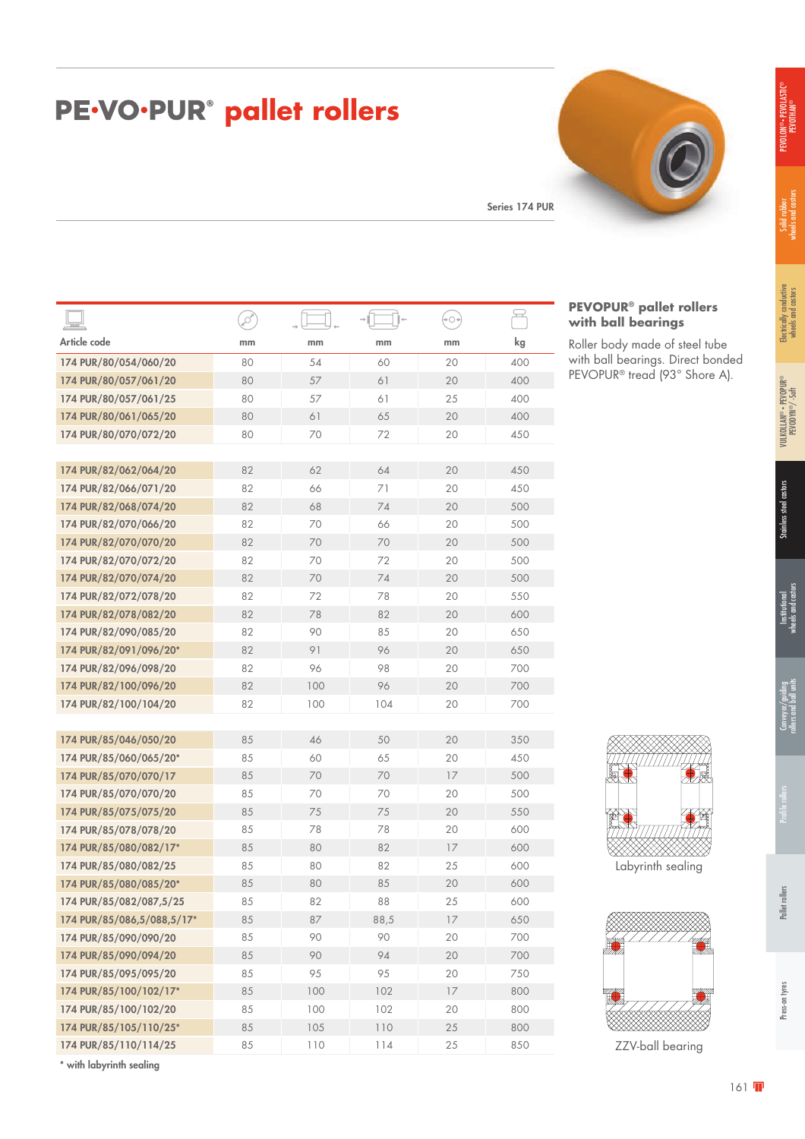| <b>PE·VO·PUR<sup>®</sup> pallet rollers</b> |  |  |
|---------------------------------------------|--|--|
|---------------------------------------------|--|--|

Series 174 PUR

|                                 | ø  |     |      | $+$ $\bigcirc$ + |     |
|---------------------------------|----|-----|------|------------------|-----|
| Article code                    | mm | mm  | mm   | mm               | kg  |
| 174 PUR/80/054/060/20           | 80 | 54  | 60   | 20               | 400 |
| 174 PUR/80/057/061/20           | 80 | 57  | 61   | 20               | 400 |
| 174 PUR/80/057/061/25           | 80 | 57  | 61   | 25               | 400 |
| 174 PUR/80/061/065/20           | 80 | 61  | 65   | 20               | 400 |
| 174 PUR/80/070/072/20           | 80 | 70  | 72   | 20               | 450 |
|                                 |    |     |      |                  |     |
| 174 PUR/82/062/064/20           | 82 | 62  | 64   | 20               | 450 |
| 174 PUR/82/066/071/20           | 82 | 66  | 71   | 20               | 450 |
| 174 PUR/82/068/074/20           | 82 | 68  | 74   | 20               | 500 |
| 174 PUR/82/070/066/20           | 82 | 70  | 66   | 20               | 500 |
| 174 PUR/82/070/070/20           | 82 | 70  | 70   | 20               | 500 |
| 174 PUR/82/070/072/20           | 82 | 70  | 72   | 20               | 500 |
| 174 PUR/82/070/074/20           | 82 | 70  | 74   | 20               | 500 |
| 174 PUR/82/072/078/20           | 82 | 72  | 78   | 20               | 550 |
| 174 PUR/82/078/082/20           | 82 | 78  | 82   | 20               | 600 |
| 174 PUR/82/090/085/20           | 82 | 90  | 85   | 20               | 650 |
| 174 PUR/82/091/096/20*          | 82 | 91  | 96   | 20               | 650 |
| 174 PUR/82/096/098/20           | 82 | 96  | 98   | 20               | 700 |
| 174 PUR/82/100/096/20           | 82 | 100 | 96   | 20               | 700 |
| 174 PUR/82/100/104/20           | 82 | 100 | 104  | 20               | 700 |
|                                 |    |     |      |                  |     |
| 174 PUR/85/046/050/20           | 85 | 46  | 50   | 20               | 350 |
| 174 PUR/85/060/065/20*          | 85 | 60  | 65   | 20               | 450 |
| 174 PUR/85/070/070/17           | 85 | 70  | 70   | 17               | 500 |
| 174 PUR/85/070/070/20           | 85 | 70  | 70   | 20               | 500 |
| 174 PUR/85/075/075/20           | 85 | 75  | 75   | 20               | 550 |
| 174 PUR/85/078/078/20           | 85 | 78  | 78   | 20               | 600 |
| 174 PUR/85/080/082/17*          | 85 | 80  | 82   | 17               | 600 |
| 174 PUR/85/080/082/25           | 85 | 80  | 82   | 25               | 600 |
| 174 PUR/85/080/085/20*          | 85 | 80  | 85   | 20               | 600 |
| 174 PUR/85/082/087,5/25         | 85 | 82  | 88   | 25               | 600 |
| 174 PUR/85/086,5/088,5/17*      | 85 | 87  | 88,5 | 17               | 650 |
| 174 PUR/85/090/090/20           | 85 | 90  | 90   | 20               | 700 |
| 174 PUR/85/090/094/20           | 85 | 90  | 94   | 20               | 700 |
| 174 PUR/85/095/095/20           | 85 | 95  | 95   | 20               | 750 |
| 174 PUR/85/100/102/17*          | 85 | 100 | 102  | 17               | 800 |
| 174 PUR/85/100/102/20           | 85 | 100 | 102  | 20               | 800 |
| 174 PUR/85/105/110/25*          | 85 | 105 | 110  | 25               | 800 |
| 174 PUR/85/110/114/25           | 85 | 110 | 114  | 25               | 850 |
| ويناسمون وافونس بواسل وافترين * |    |     |      |                  |     |



Roller body made of steel tube with ball bearings. Direct bonded PEVOPUR® tread (93° Shore A).

| Labyrinth sealing |  |
|-------------------|--|



ZZV-ball bearing

with labyrinth sealing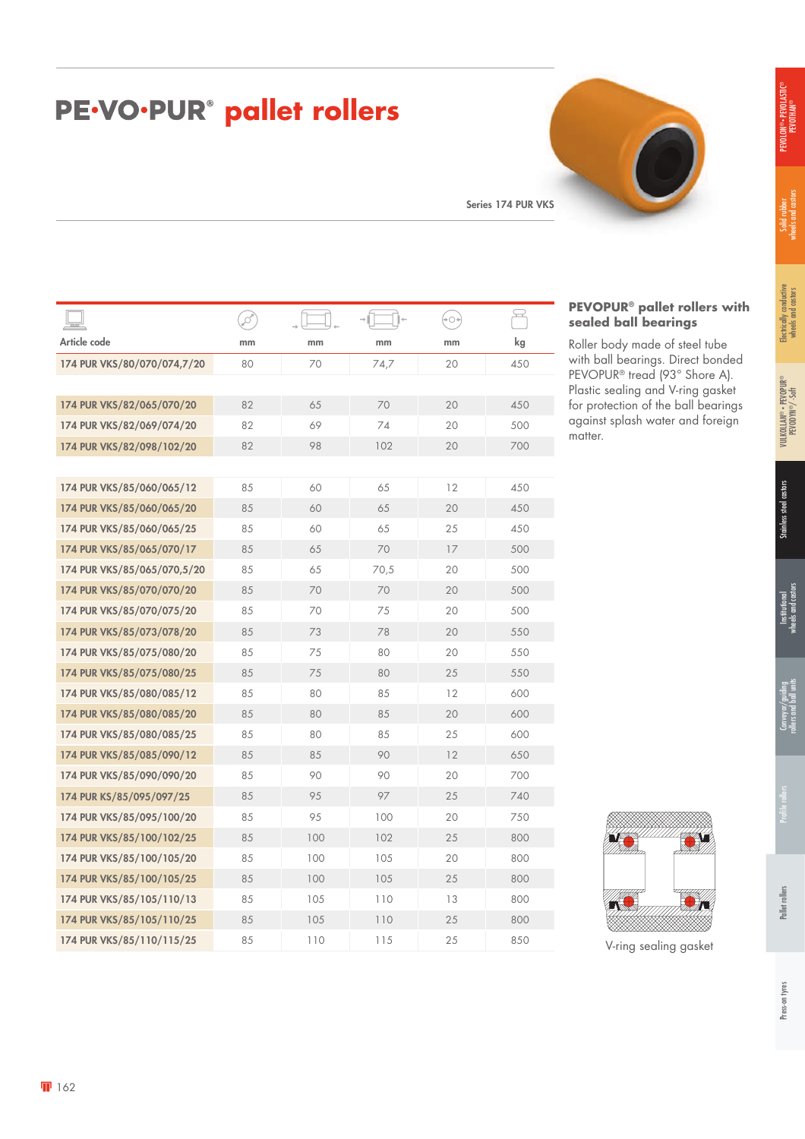#### **PE.VO.PUR® pallet rollers**

Series 174 PUR VKS

| S<br>kg<br>450 |
|----------------|
|                |
|                |
|                |
|                |
| 450            |
| 500            |
| 700            |
|                |
| 450            |
| 450            |
| 450            |
| 500            |
| 500            |
| 500            |
| 500            |
| 550            |
| 550            |
| 550            |
| 600            |
| 600            |
| 600            |
| 650            |
| 700            |
| 740            |
| 750            |
| 800            |
| 800            |
| 800            |
| 800            |
|                |
| 800            |
|                |



#### **PEVOPUR® pallet rollers with sealed ball bearings**

Roller body made of steel tube with ball bearings. Direct bonded PEVOPUR® tread (93° Shore A). Plastic sealing and V-ring gasket for protection of the ball bearings against splash water and foreign matter.



V-ring sealing gasket